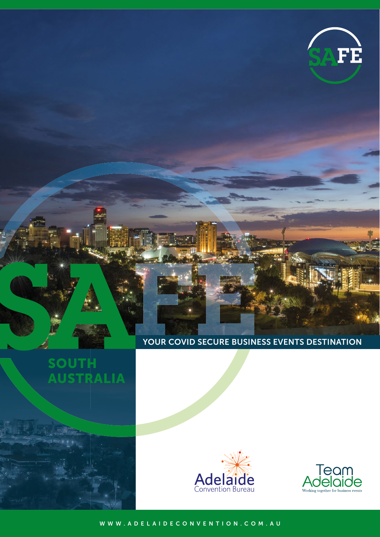

### YOUR COVID SECURE BUSINESS EVENTS DESTINATION







[WWW.ADELAIDECONVENTION.COM.AU](http://www.adelaideconvention.com.au)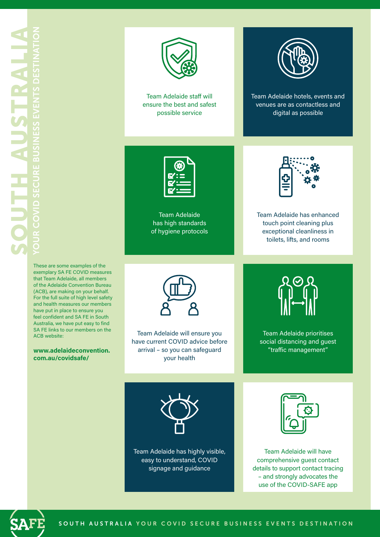

Team Adelaide staff will ensure the best and safest possible service



Team Adelaide hotels, events and venues are as contactless and digital as possible

|         | ें: |
|---------|-----|
| æ<br>н. |     |

Team Adelaide has high standards of hygiene protocols



Team Adelaide has enhanced touch point cleaning plus exceptional cleanliness in toilets, lifts, and rooms

These are some examples of the exemplary SA FE COVID measures that Team Adelaide, all members of the Adelaide Convention Bureau (ACB), are making on your behalf. For the full suite of high level safety and health measures our members have put in place to ensure you feel confident and SA FE in South Australia, we have put easy to find SA FE links to our members on the ACB website:

#### **[www.adelaideconvention.](http://www.adelaideconvention.com.au/covidsafe/) com.au/covidsafe/**



Team Adelaide will ensure you have current COVID advice before arrival – so you can safeguard your health



Team Adelaide prioritises social distancing and guest "traffic management"



Team Adelaide has highly visible, easy to understand, COVID signage and guidance



Team Adelaide will have comprehensive guest contact details to support contact tracing – and strongly advocates the use of the COVID-SAFE app

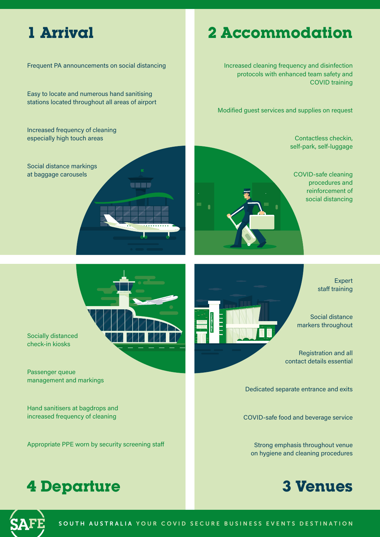## **1 Arrival**

Frequent PA announcements on social distancing

Easy to locate and numerous hand sanitising stations located throughout all areas of airport

Increased frequency of cleaning especially high touch areas

Social distance markings at baggage carousels

# **2 Accommodation**

Increased cleaning frequency and disinfection protocols with enhanced team safety and COVID training

Modified guest services and supplies on request

Contactless checkin, self-park, self-luggage

COVID-safe cleaning procedures and reinforcement of social distancing

> Expert staff training

Social distance markers throughout

Registration and all contact details essential

Dedicated separate entrance and exits

COVID-safe food and beverage service

Strong emphasis throughout venue on hygiene and cleaning procedures





una s

Socially distanced check-in kiosks

Passenger queue management and markings

Hand sanitisers at bagdrops and increased frequency of cleaning

Appropriate PPE worn by security screening staff

# **4 Departure**